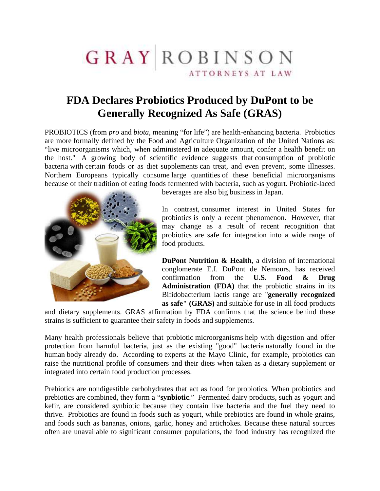## GRAYROBINSON ATTORNEYS AT LAW

## **FDA Declares Probiotics Produced by DuPont to be Generally Recognized As Safe (GRAS)**

PROBIOTICS (from *pro* and *biota*, meaning "for life") are health-enhancing bacteria. Probiotics are more formally defined by the Food and Agriculture Organization of the United Nations as: "live microorganisms which, when administered in adequate amount, confer a health benefit on the host." A growing body of scientific evidence suggests that consumption of probiotic bacteria with certain foods or as diet supplements can treat, and even prevent, some illnesses. Northern Europeans typically consume large quantities of these beneficial microorganisms because of their tradition of eating foods fermented with bacteria, such as yogurt. Probiotic-laced



beverages are also big business in Japan.

In contrast, consumer interest in United States for probiotics is only a recent phenomenon. However, that may change as a result of recent recognition that probiotics are safe for integration into a wide range of food products.

**DuPont Nutrition & Health**, a division of international conglomerate E.I. DuPont de Nemours, has received confirmation from the **U.S. Food & Drug Administration (FDA)** that the probiotic strains in its Bifidobacterium lactis range are "**generally recognized as safe" (GRAS)** and suitable for use in all food products

and dietary supplements. GRAS affirmation by FDA confirms that the science behind these strains is sufficient to guarantee their safety in foods and supplements.

Many health professionals believe that probiotic microorganisms help with digestion and offer protection from harmful bacteria, just as the existing "good" bacteria naturally found in the human body already do. According to experts at the Mayo Clinic, for example, probiotics can raise the nutritional profile of consumers and their diets when taken as a dietary supplement or integrated into certain food production processes.

Prebiotics are nondigestible carbohydrates that act as food for probiotics. When probiotics and prebiotics are combined, they form a "**synbiotic**." Fermented dairy products, such as yogurt and kefir, are considered synbiotic because they contain live bacteria and the fuel they need to thrive. Probiotics are found in foods such as yogurt, while prebiotics are found in whole grains, and foods such as bananas, onions, garlic, honey and artichokes. Because these natural sources often are unavailable to significant consumer populations, the food industry has recognized the